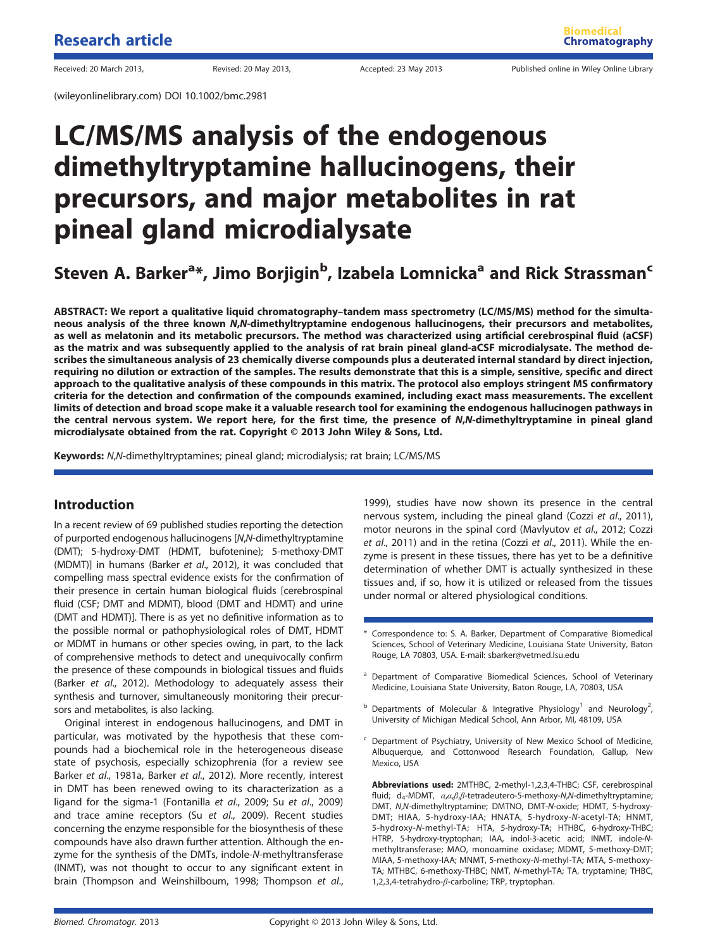(wileyonlinelibrary.com) DOI 10.1002/bmc.2981

Received: 20 March 2013, **Revised: 20 May 2013,** Accepted: 23 May 2013 Published online in Wiley Online Library

# LC/MS/MS analysis of the endogenous dimethyltryptamine hallucinogens, their precursors, and major metabolites in rat pineal gland microdialysate

# Steven A. Barker<sup>a</sup>\*, Jimo Borjigin<sup>b</sup>, Izabela Lomnicka<sup>a</sup> and Rick Strassman<sup>c</sup>

ABSTRACT: We report a qualitative liquid chromatography–tandem mass spectrometry (LC/MS/MS) method for the simultaneous analysis of the three known N,N-dimethyltryptamine endogenous hallucinogens, their precursors and metabolites, as well as melatonin and its metabolic precursors. The method was characterized using artificial cerebrospinal fluid (aCSF) as the matrix and was subsequently applied to the analysis of rat brain pineal gland-aCSF microdialysate. The method describes the simultaneous analysis of 23 chemically diverse compounds plus a deuterated internal standard by direct injection, requiring no dilution or extraction of the samples. The results demonstrate that this is a simple, sensitive, specific and direct approach to the qualitative analysis of these compounds in this matrix. The protocol also employs stringent MS confirmatory criteria for the detection and confirmation of the compounds examined, including exact mass measurements. The excellent limits of detection and broad scope make it a valuable research tool for examining the endogenous hallucinogen pathways in the central nervous system. We report here, for the first time, the presence of N,N-dimethyltryptamine in pineal gland microdialysate obtained from the rat. Copyright © 2013 John Wiley & Sons, Ltd.

Keywords: N,N-dimethyltryptamines; pineal gland; microdialysis; rat brain; LC/MS/MS

# Introduction

In a recent review of 69 published studies reporting the detection of purported endogenous hallucinogens [N,N-dimethyltryptamine (DMT); 5-hydroxy-DMT (HDMT, bufotenine); 5-methoxy-DMT (MDMT)] in humans (Barker et al., 2012), it was concluded that compelling mass spectral evidence exists for the confirmation of their presence in certain human biological fluids [cerebrospinal fluid (CSF; DMT and MDMT), blood (DMT and HDMT) and urine (DMT and HDMT)]. There is as yet no definitive information as to the possible normal or pathophysiological roles of DMT, HDMT or MDMT in humans or other species owing, in part, to the lack of comprehensive methods to detect and unequivocally confirm the presence of these compounds in biological tissues and fluids (Barker et al., 2012). Methodology to adequately assess their synthesis and turnover, simultaneously monitoring their precursors and metabolites, is also lacking.

Original interest in endogenous hallucinogens, and DMT in particular, was motivated by the hypothesis that these compounds had a biochemical role in the heterogeneous disease state of psychosis, especially schizophrenia (for a review see Barker et al., 1981a, Barker et al., 2012). More recently, interest in DMT has been renewed owing to its characterization as a ligand for the sigma-1 (Fontanilla et al., 2009; Su et al., 2009) and trace amine receptors (Su et al., 2009). Recent studies concerning the enzyme responsible for the biosynthesis of these compounds have also drawn further attention. Although the enzyme for the synthesis of the DMTs, indole-N-methyltransferase (INMT), was not thought to occur to any significant extent in brain (Thompson and Weinshilboum, 1998; Thompson et al.,

1999), studies have now shown its presence in the central nervous system, including the pineal gland (Cozzi et al., 2011), motor neurons in the spinal cord (Mavlyutov et al., 2012; Cozzi et al., 2011) and in the retina (Cozzi et al., 2011). While the enzyme is present in these tissues, there has yet to be a definitive determination of whether DMT is actually synthesized in these tissues and, if so, how it is utilized or released from the tissues under normal or altered physiological conditions.

- \* Correspondence to: S. A. Barker, Department of Comparative Biomedical Sciences, School of Veterinary Medicine, Louisiana State University, Baton Rouge, LA 70803, USA. E-mail: sbarker@vetmed.lsu.edu
- Department of Comparative Biomedical Sciences, School of Veterinary Medicine, Louisiana State University, Baton Rouge, LA, 70803, USA
- Departments of Molecular & Integrative Physiology<sup>1</sup> and Neurology<sup>2</sup>, .<br>, University of Michigan Medical School, Ann Arbor, MI, 48109, USA
- Department of Psychiatry, University of New Mexico School of Medicine, Albuquerque, and Cottonwood Research Foundation, Gallup, New Mexico, USA

Abbreviations used: 2MTHBC, 2-methyl-1,2,3,4-THBC; CSF, cerebrospinal fluid; d4-MDMT, α,α,β,β-tetradeutero-5-methoxy-N,N-dimethyltryptamine; DMT, N,N-dimethyltryptamine; DMTNO, DMT-N-oxide; HDMT, 5-hydroxy-DMT; HIAA, 5-hydroxy-IAA; HNATA, 5-hydroxy-N-acetyl-TA; HNMT, 5-hydroxy-N-methyl-TA; HTA, 5-hydroxy-TA; HTHBC, 6-hydroxy-THBC; HTRP, 5-hydroxy-tryptophan; IAA, indol-3-acetic acid; INMT, indole-Nmethyltransferase; MAO, monoamine oxidase; MDMT, 5-methoxy-DMT; MIAA, 5-methoxy-IAA; MNMT, 5-methoxy-N-methyl-TA; MTA, 5-methoxy-TA; MTHBC, 6-methoxy-THBC; NMT, N-methyl-TA; TA, tryptamine; THBC, 1,2,3,4-tetrahydro-β-carboline; TRP, tryptophan.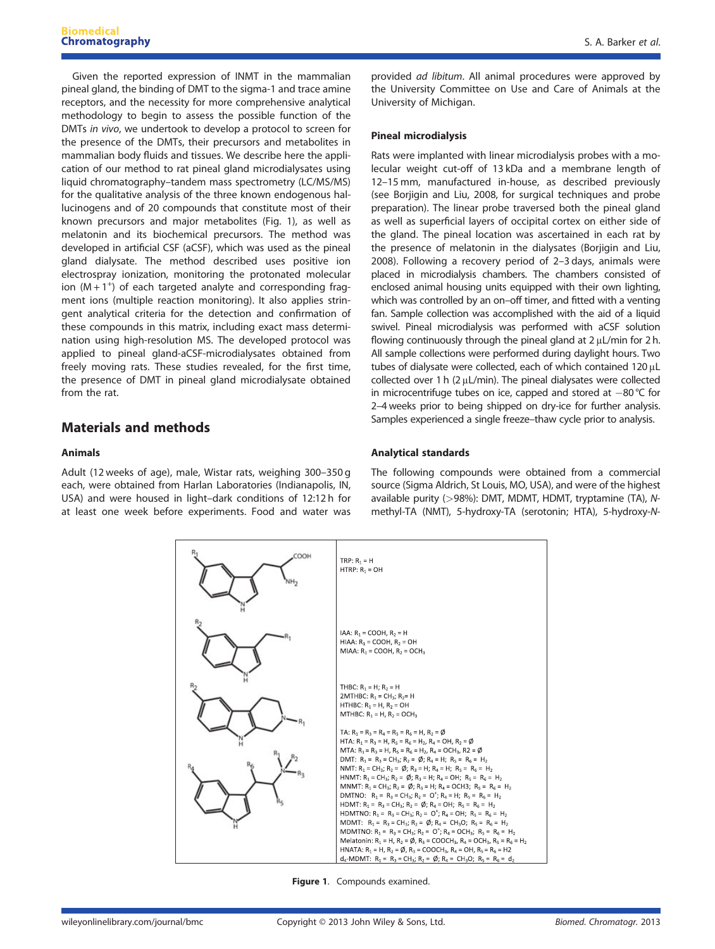Given the reported expression of INMT in the mammalian pineal gland, the binding of DMT to the sigma-1 and trace amine receptors, and the necessity for more comprehensive analytical methodology to begin to assess the possible function of the DMTs in vivo, we undertook to develop a protocol to screen for the presence of the DMTs, their precursors and metabolites in mammalian body fluids and tissues. We describe here the application of our method to rat pineal gland microdialysates using liquid chromatography–tandem mass spectrometry (LC/MS/MS) for the qualitative analysis of the three known endogenous hallucinogens and of 20 compounds that constitute most of their known precursors and major metabolites (Fig. 1), as well as melatonin and its biochemical precursors. The method was developed in artificial CSF (aCSF), which was used as the pineal gland dialysate. The method described uses positive ion electrospray ionization, monitoring the protonated molecular ion  $(M + 1<sup>+</sup>)$  of each targeted analyte and corresponding fragment ions (multiple reaction monitoring). It also applies stringent analytical criteria for the detection and confirmation of these compounds in this matrix, including exact mass determination using high-resolution MS. The developed protocol was applied to pineal gland-aCSF-microdialysates obtained from freely moving rats. These studies revealed, for the first time, the presence of DMT in pineal gland microdialysate obtained from the rat.

# Materials and methods

#### Animals

Adult (12 weeks of age), male, Wistar rats, weighing 300–350 g each, were obtained from Harlan Laboratories (Indianapolis, IN, USA) and were housed in light–dark conditions of 12:12 h for at least one week before experiments. Food and water was

provided ad libitum. All animal procedures were approved by the University Committee on Use and Care of Animals at the University of Michigan.

#### Pineal microdialysis

Rats were implanted with linear microdialysis probes with a molecular weight cut-off of 13 kDa and a membrane length of 12–15 mm, manufactured in-house, as described previously (see Borjigin and Liu, 2008, for surgical techniques and probe preparation). The linear probe traversed both the pineal gland as well as superficial layers of occipital cortex on either side of the gland. The pineal location was ascertained in each rat by the presence of melatonin in the dialysates (Borjigin and Liu, 2008). Following a recovery period of 2–3 days, animals were placed in microdialysis chambers. The chambers consisted of enclosed animal housing units equipped with their own lighting, which was controlled by an on–off timer, and fitted with a venting fan. Sample collection was accomplished with the aid of a liquid swivel. Pineal microdialysis was performed with aCSF solution flowing continuously through the pineal gland at 2 μL/min for 2 h. All sample collections were performed during daylight hours. Two tubes of dialysate were collected, each of which contained 120 μL collected over 1 h ( $2 \mu L/min$ ). The pineal dialysates were collected in microcentrifuge tubes on ice, capped and stored at  $-80$  °C for 2–4 weeks prior to being shipped on dry-ice for further analysis. Samples experienced a single freeze–thaw cycle prior to analysis.

## Analytical standards

The following compounds were obtained from a commercial source (Sigma Aldrich, St Louis, MO, USA), and were of the highest available purity (>98%): DMT, MDMT, HDMT, tryptamine (TA), Nmethyl-TA (NMT), 5-hydroxy-TA (serotonin; HTA), 5-hydroxy-N-



Figure 1. Compounds examined.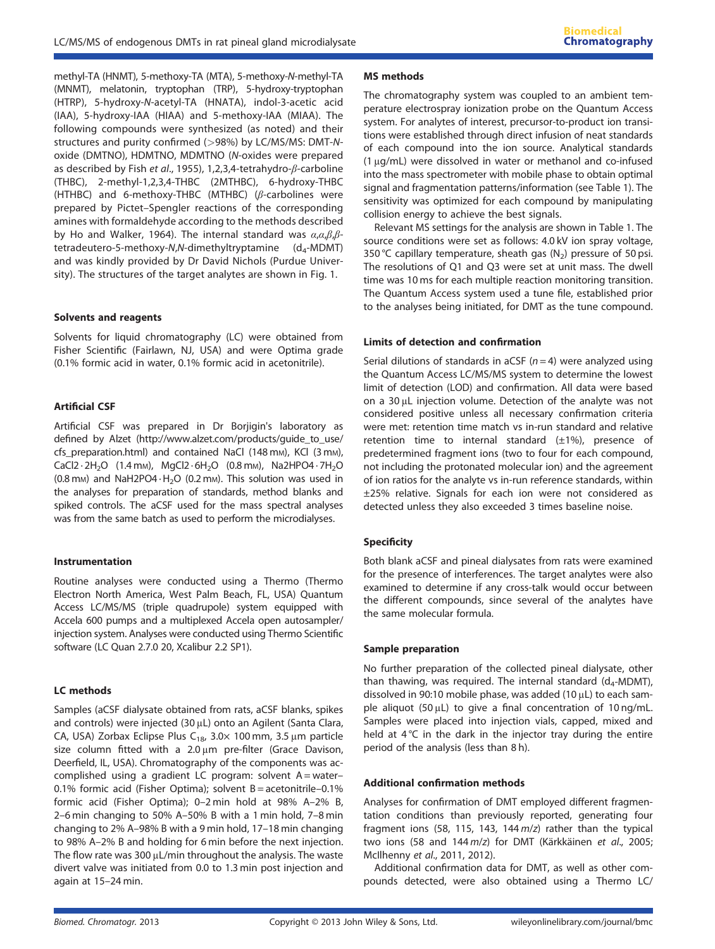methyl-TA (HNMT), 5-methoxy-TA (MTA), 5-methoxy-N-methyl-TA (MNMT), melatonin, tryptophan (TRP), 5-hydroxy-tryptophan (HTRP), 5-hydroxy-N-acetyl-TA (HNATA), indol-3-acetic acid (IAA), 5-hydroxy-IAA (HIAA) and 5-methoxy-IAA (MIAA). The following compounds were synthesized (as noted) and their structures and purity confirmed (>98%) by LC/MS/MS: DMT-Noxide (DMTNO), HDMTNO, MDMTNO (N-oxides were prepared as described by Fish et al., 1955), 1,2,3,4-tetrahydro-β-carboline (THBC), 2-methyl-1,2,3,4-THBC (2MTHBC), 6-hydroxy-THBC (HTHBC) and 6-methoxy-THBC (MTHBC) (β-carbolines were prepared by Pictet–Spengler reactions of the corresponding amines with formaldehyde according to the methods described by Ho and Walker, 1964). The internal standard was  $\alpha_i \alpha_i \beta_i \beta$ tetradeutero-5-methoxy-N,N-dimethyltryptamine  $(d_4\text{-MDMT})$ and was kindly provided by Dr David Nichols (Purdue University). The structures of the target analytes are shown in Fig. 1.

#### Solvents and reagents

Solvents for liquid chromatography (LC) were obtained from Fisher Scientific (Fairlawn, NJ, USA) and were Optima grade (0.1% formic acid in water, 0.1% formic acid in acetonitrile).

#### Artificial CSF

Artificial CSF was prepared in Dr Borjigin's laboratory as defined by Alzet [\(http://www.alzet.com/products/guide\\_to\\_use/](http://www.alzet.com/products/guide_to_use/cfs_preparation.html) [cfs\\_preparation.html\)](http://www.alzet.com/products/guide_to_use/cfs_preparation.html) and contained NaCl (148 mm), KCl (3 mm),  $CaCl2 \cdot 2H_2O$  (1.4 mm), MgCl2  $\cdot$  6H<sub>2</sub>O (0.8 mm), Na2HPO4  $\cdot$  7H<sub>2</sub>O (0.8 mm) and NaH2PO4  $\cdot$  H<sub>2</sub>O (0.2 mm). This solution was used in the analyses for preparation of standards, method blanks and spiked controls. The aCSF used for the mass spectral analyses was from the same batch as used to perform the microdialyses.

#### Instrumentation

Routine analyses were conducted using a Thermo (Thermo Electron North America, West Palm Beach, FL, USA) Quantum Access LC/MS/MS (triple quadrupole) system equipped with Accela 600 pumps and a multiplexed Accela open autosampler/ injection system. Analyses were conducted using Thermo Scientific software (LC Quan 2.7.0 20, Xcalibur 2.2 SP1).

#### LC methods

Samples (aCSF dialysate obtained from rats, aCSF blanks, spikes and controls) were injected (30 μL) onto an Agilent (Santa Clara, CA, USA) Zorbax Eclipse Plus C<sub>18</sub>, 3.0× 100 mm, 3.5  $\mu$ m particle size column fitted with a 2.0 μm pre-filter (Grace Davison, Deerfield, IL, USA). Chromatography of the components was accomplished using a gradient LC program: solvent A = water-0.1% formic acid (Fisher Optima); solvent B = acetonitrile-0.1% formic acid (Fisher Optima); 0–2 min hold at 98% A–2% B, 2–6 min changing to 50% A–50% B with a 1 min hold, 7–8 min changing to 2% A–98% B with a 9 min hold, 17–18 min changing to 98% A–2% B and holding for 6 min before the next injection. The flow rate was 300 μL/min throughout the analysis. The waste divert valve was initiated from 0.0 to 1.3 min post injection and again at 15–24 min.

#### MS methods

The chromatography system was coupled to an ambient temperature electrospray ionization probe on the Quantum Access system. For analytes of interest, precursor-to-product ion transitions were established through direct infusion of neat standards of each compound into the ion source. Analytical standards (1 μg/mL) were dissolved in water or methanol and co-infused into the mass spectrometer with mobile phase to obtain optimal signal and fragmentation patterns/information (see Table 1). The sensitivity was optimized for each compound by manipulating collision energy to achieve the best signals.

Relevant MS settings for the analysis are shown in Table 1. The source conditions were set as follows: 4.0 kV ion spray voltage, 350 °C capillary temperature, sheath gas  $(N_2)$  pressure of 50 psi. The resolutions of Q1 and Q3 were set at unit mass. The dwell time was 10 ms for each multiple reaction monitoring transition. The Quantum Access system used a tune file, established prior to the analyses being initiated, for DMT as the tune compound.

#### Limits of detection and confirmation

Serial dilutions of standards in aCSF ( $n = 4$ ) were analyzed using the Quantum Access LC/MS/MS system to determine the lowest limit of detection (LOD) and confirmation. All data were based on a 30 μL injection volume. Detection of the analyte was not considered positive unless all necessary confirmation criteria were met: retention time match vs in-run standard and relative retention time to internal standard (±1%), presence of predetermined fragment ions (two to four for each compound, not including the protonated molecular ion) and the agreement of ion ratios for the analyte vs in-run reference standards, within ±25% relative. Signals for each ion were not considered as detected unless they also exceeded 3 times baseline noise.

#### **Specificity**

Both blank aCSF and pineal dialysates from rats were examined for the presence of interferences. The target analytes were also examined to determine if any cross-talk would occur between the different compounds, since several of the analytes have the same molecular formula.

#### Sample preparation

No further preparation of the collected pineal dialysate, other than thawing, was required. The internal standard  $(d_4\text{-MDMT})$ , dissolved in 90:10 mobile phase, was added (10 μL) to each sample aliquot (50 μL) to give a final concentration of 10 ng/mL. Samples were placed into injection vials, capped, mixed and held at  $4^{\circ}$ C in the dark in the injector tray during the entire period of the analysis (less than 8 h).

#### Additional confirmation methods

Analyses for confirmation of DMT employed different fragmentation conditions than previously reported, generating four fragment ions (58, 115, 143, 144 m/z) rather than the typical two ions (58 and 144 m/z) for DMT (Kärkkäinen et al., 2005; McIlhenny et al., 2011, 2012).

Additional confirmation data for DMT, as well as other compounds detected, were also obtained using a Thermo LC/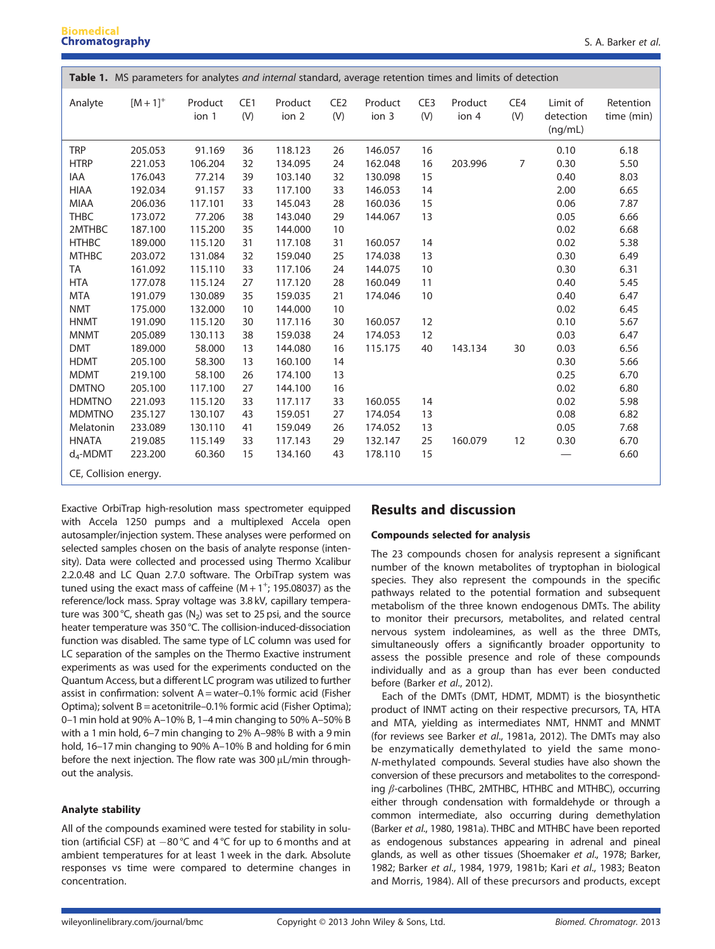| Table 1. MS parameters for analytes and internal standard, average retention times and limits of detection |                       |         |     |         |                 |         |     |         |     |                      |            |  |
|------------------------------------------------------------------------------------------------------------|-----------------------|---------|-----|---------|-----------------|---------|-----|---------|-----|----------------------|------------|--|
| Analyte                                                                                                    | $[M + 1]^{+}$         | Product | CE1 | Product | CE <sub>2</sub> | Product | CE3 | Product | CE4 | Limit of             | Retention  |  |
|                                                                                                            |                       | ion 1   | (V) | ion 2   | (V)             | ion 3   | (V) | ion 4   | (V) | detection<br>(nq/mL) | time (min) |  |
| <b>TRP</b>                                                                                                 | 205.053               | 91.169  | 36  | 118.123 | 26              | 146.057 | 16  |         |     | 0.10                 | 6.18       |  |
| <b>HTRP</b>                                                                                                | 221.053               | 106.204 | 32  | 134.095 | 24              | 162.048 | 16  | 203.996 | 7   | 0.30                 | 5.50       |  |
| IAA                                                                                                        | 176.043               | 77.214  | 39  | 103.140 | 32              | 130.098 | 15  |         |     | 0.40                 | 8.03       |  |
| <b>HIAA</b>                                                                                                | 192.034               | 91.157  | 33  | 117.100 | 33              | 146.053 | 14  |         |     | 2.00                 | 6.65       |  |
| <b>MIAA</b>                                                                                                | 206.036               | 117.101 | 33  | 145.043 | 28              | 160.036 | 15  |         |     | 0.06                 | 7.87       |  |
| <b>THBC</b>                                                                                                | 173.072               | 77.206  | 38  | 143.040 | 29              | 144.067 | 13  |         |     | 0.05                 | 6.66       |  |
| 2MTHBC                                                                                                     | 187.100               | 115.200 | 35  | 144.000 | 10              |         |     |         |     | 0.02                 | 6.68       |  |
| <b>HTHBC</b>                                                                                               | 189.000               | 115.120 | 31  | 117.108 | 31              | 160.057 | 14  |         |     | 0.02                 | 5.38       |  |
| <b>MTHBC</b>                                                                                               | 203.072               | 131.084 | 32  | 159.040 | 25              | 174.038 | 13  |         |     | 0.30                 | 6.49       |  |
| <b>TA</b>                                                                                                  | 161.092               | 115.110 | 33  | 117.106 | 24              | 144.075 | 10  |         |     | 0.30                 | 6.31       |  |
| <b>HTA</b>                                                                                                 | 177.078               | 115.124 | 27  | 117.120 | 28              | 160.049 | 11  |         |     | 0.40                 | 5.45       |  |
| <b>MTA</b>                                                                                                 | 191.079               | 130.089 | 35  | 159.035 | 21              | 174.046 | 10  |         |     | 0.40                 | 6.47       |  |
| <b>NMT</b>                                                                                                 | 175.000               | 132.000 | 10  | 144.000 | 10              |         |     |         |     | 0.02                 | 6.45       |  |
| <b>HNMT</b>                                                                                                | 191.090               | 115.120 | 30  | 117.116 | 30              | 160.057 | 12  |         |     | 0.10                 | 5.67       |  |
| <b>MNMT</b>                                                                                                | 205.089               | 130.113 | 38  | 159.038 | 24              | 174.053 | 12  |         |     | 0.03                 | 6.47       |  |
| <b>DMT</b>                                                                                                 | 189.000               | 58.000  | 13  | 144.080 | 16              | 115.175 | 40  | 143.134 | 30  | 0.03                 | 6.56       |  |
| <b>HDMT</b>                                                                                                | 205.100               | 58.300  | 13  | 160.100 | 14              |         |     |         |     | 0.30                 | 5.66       |  |
| <b>MDMT</b>                                                                                                | 219.100               | 58.100  | 26  | 174.100 | 13              |         |     |         |     | 0.25                 | 6.70       |  |
| <b>DMTNO</b>                                                                                               | 205.100               | 117.100 | 27  | 144.100 | 16              |         |     |         |     | 0.02                 | 6.80       |  |
| <b>HDMTNO</b>                                                                                              | 221.093               | 115.120 | 33  | 117.117 | 33              | 160.055 | 14  |         |     | 0.02                 | 5.98       |  |
| <b>MDMTNO</b>                                                                                              | 235.127               | 130.107 | 43  | 159.051 | 27              | 174.054 | 13  |         |     | 0.08                 | 6.82       |  |
| Melatonin                                                                                                  | 233.089               | 130.110 | 41  | 159.049 | 26              | 174.052 | 13  |         |     | 0.05                 | 7.68       |  |
| <b>HNATA</b>                                                                                               | 219.085               | 115.149 | 33  | 117.143 | 29              | 132.147 | 25  | 160.079 | 12  | 0.30                 | 6.70       |  |
| $d_A$ -MDMT                                                                                                | 223.200               | 60.360  | 15  | 134.160 | 43              | 178.110 | 15  |         |     |                      | 6.60       |  |
|                                                                                                            | CE, Collision energy. |         |     |         |                 |         |     |         |     |                      |            |  |

Exactive OrbiTrap high-resolution mass spectrometer equipped with Accela 1250 pumps and a multiplexed Accela open autosampler/injection system. These analyses were performed on selected samples chosen on the basis of analyte response (intensity). Data were collected and processed using Thermo Xcalibur 2.2.0.48 and LC Quan 2.7.0 software. The OrbiTrap system was tuned using the exact mass of caffeine  $(M + 1^+; 195.08037)$  as the reference/lock mass. Spray voltage was 3.8 kV, capillary temperature was 300 °C, sheath gas  $(N_2)$  was set to 25 psi, and the source heater temperature was 350 °C. The collision-induced-dissociation function was disabled. The same type of LC column was used for LC separation of the samples on the Thermo Exactive instrument experiments as was used for the experiments conducted on the Quantum Access, but a different LC program was utilized to further assist in confirmation: solvent  $A = water - 0.1\%$  formic acid (Fisher Optima); solvent B = acetonitrile–0.1% formic acid (Fisher Optima); 0–1 min hold at 90% A–10% B, 1–4 min changing to 50% A–50% B with a 1 min hold, 6–7 min changing to 2% A–98% B with a 9 min hold, 16–17 min changing to 90% A–10% B and holding for 6 min before the next injection. The flow rate was 300 μL/min throughout the analysis.

#### Analyte stability

All of the compounds examined were tested for stability in solution (artificial CSF) at  $-80$  °C and 4 °C for up to 6 months and at ambient temperatures for at least 1 week in the dark. Absolute responses vs time were compared to determine changes in concentration.

## Results and discussion

#### Compounds selected for analysis

The 23 compounds chosen for analysis represent a significant number of the known metabolites of tryptophan in biological species. They also represent the compounds in the specific pathways related to the potential formation and subsequent metabolism of the three known endogenous DMTs. The ability to monitor their precursors, metabolites, and related central nervous system indoleamines, as well as the three DMTs, simultaneously offers a significantly broader opportunity to assess the possible presence and role of these compounds individually and as a group than has ever been conducted before (Barker et al., 2012).

Each of the DMTs (DMT, HDMT, MDMT) is the biosynthetic product of INMT acting on their respective precursors, TA, HTA and MTA, yielding as intermediates NMT, HNMT and MNMT (for reviews see Barker et al., 1981a, 2012). The DMTs may also be enzymatically demethylated to yield the same mono-N-methylated compounds. Several studies have also shown the conversion of these precursors and metabolites to the corresponding  $\beta$ -carbolines (THBC, 2MTHBC, HTHBC and MTHBC), occurring either through condensation with formaldehyde or through a common intermediate, also occurring during demethylation (Barker et al., 1980, 1981a). THBC and MTHBC have been reported as endogenous substances appearing in adrenal and pineal glands, as well as other tissues (Shoemaker et al., 1978; Barker, 1982; Barker et al., 1984, 1979, 1981b; Kari et al., 1983; Beaton and Morris, 1984). All of these precursors and products, except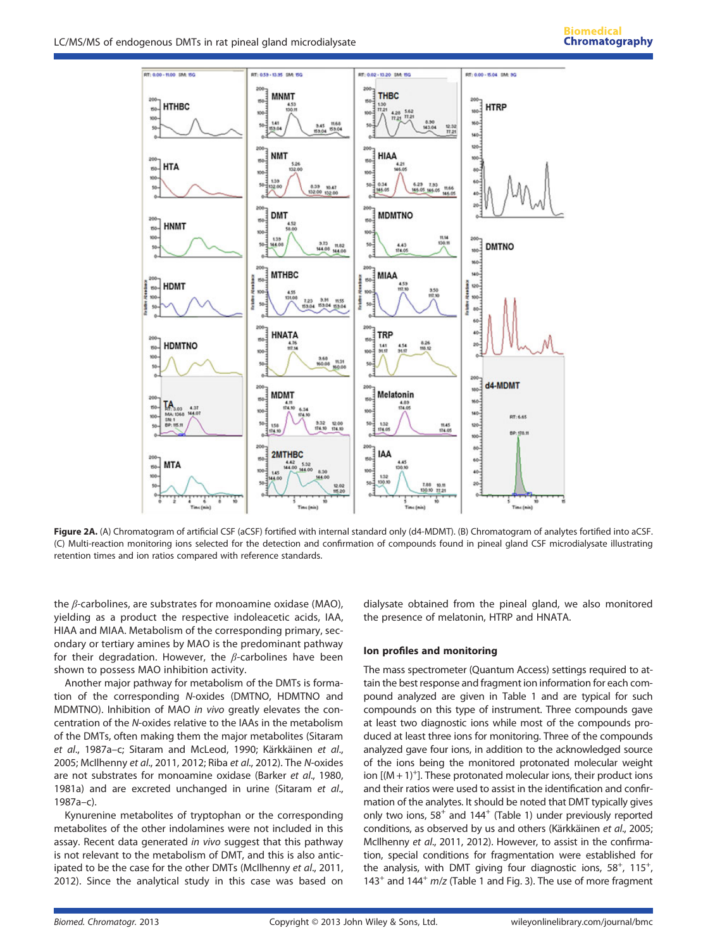

Figure 2A. (A) Chromatogram of artificial CSF (aCSF) fortified with internal standard only (d4-MDMT). (B) Chromatogram of analytes fortified into aCSF. (C) Multi-reaction monitoring ions selected for the detection and confirmation of compounds found in pineal gland CSF microdialysate illustrating retention times and ion ratios compared with reference standards.

the β-carbolines, are substrates for monoamine oxidase (MAO), yielding as a product the respective indoleacetic acids, IAA, HIAA and MIAA. Metabolism of the corresponding primary, secondary or tertiary amines by MAO is the predominant pathway for their degradation. However, the  $\beta$ -carbolines have been shown to possess MAO inhibition activity.

Another major pathway for metabolism of the DMTs is formation of the corresponding N-oxides (DMTNO, HDMTNO and MDMTNO). Inhibition of MAO in vivo greatly elevates the concentration of the N-oxides relative to the IAAs in the metabolism of the DMTs, often making them the major metabolites (Sitaram et al., 1987a–c; Sitaram and McLeod, 1990; Kärkkäinen et al., 2005; McIlhenny et al., 2011, 2012; Riba et al., 2012). The N-oxides are not substrates for monoamine oxidase (Barker et al., 1980, 1981a) and are excreted unchanged in urine (Sitaram et al., 1987a–c).

Kynurenine metabolites of tryptophan or the corresponding metabolites of the other indolamines were not included in this assay. Recent data generated in vivo suggest that this pathway is not relevant to the metabolism of DMT, and this is also anticipated to be the case for the other DMTs (McIlhenny et al., 2011, 2012). Since the analytical study in this case was based on

dialysate obtained from the pineal gland, we also monitored the presence of melatonin, HTRP and HNATA.

#### Ion profiles and monitoring

The mass spectrometer (Quantum Access) settings required to attain the best response and fragment ion information for each compound analyzed are given in Table 1 and are typical for such compounds on this type of instrument. Three compounds gave at least two diagnostic ions while most of the compounds produced at least three ions for monitoring. Three of the compounds analyzed gave four ions, in addition to the acknowledged source of the ions being the monitored protonated molecular weight ion  $[(M + 1)<sup>+</sup>]$ . These protonated molecular ions, their product ions and their ratios were used to assist in the identification and confirmation of the analytes. It should be noted that DMT typically gives only two ions,  $58^+$  and  $144^+$  (Table 1) under previously reported conditions, as observed by us and others (Kärkkäinen et al., 2005; McIlhenny et al., 2011, 2012). However, to assist in the confirmation, special conditions for fragmentation were established for the analysis, with DMT giving four diagnostic ions,  $58^+$ ,  $115^+$ , 143<sup>+</sup> and 144<sup>+</sup>  $m/z$  (Table 1 and Fig. 3). The use of more fragment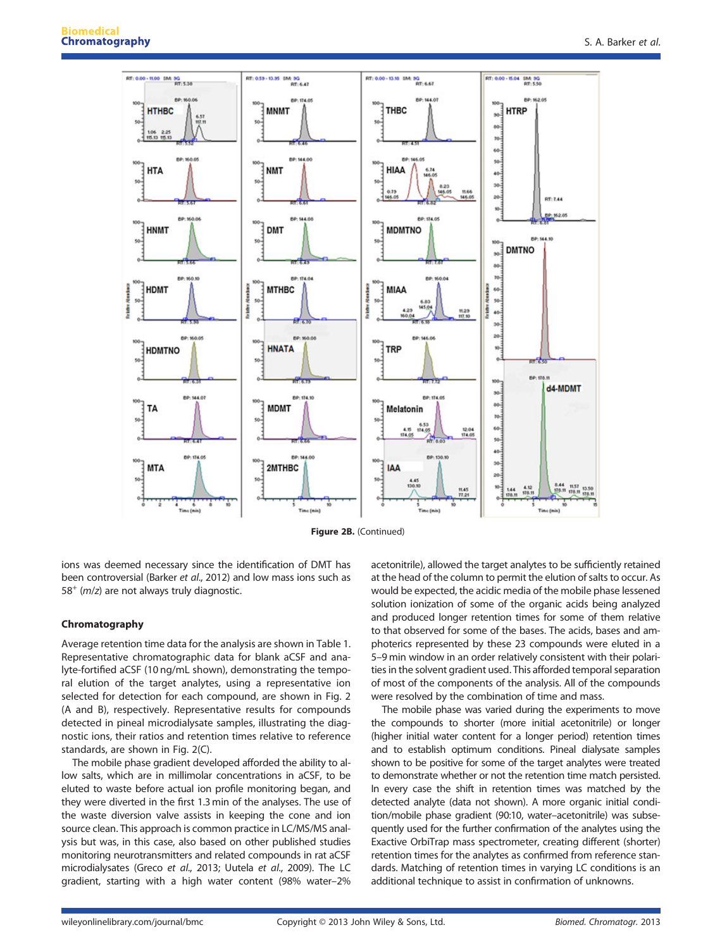

ions was deemed necessary since the identification of DMT has been controversial (Barker et al., 2012) and low mass ions such as  $58<sup>+</sup>$  (*m*/*z*) are not always truly diagnostic.

#### Chromatography

Average retention time data for the analysis are shown in Table 1. Representative chromatographic data for blank aCSF and analyte-fortified aCSF (10 ng/mL shown), demonstrating the temporal elution of the target analytes, using a representative ion selected for detection for each compound, are shown in Fig. 2 (A and B), respectively. Representative results for compounds detected in pineal microdialysate samples, illustrating the diagnostic ions, their ratios and retention times relative to reference standards, are shown in Fig. 2(C).

The mobile phase gradient developed afforded the ability to allow salts, which are in millimolar concentrations in aCSF, to be eluted to waste before actual ion profile monitoring began, and they were diverted in the first 1.3 min of the analyses. The use of the waste diversion valve assists in keeping the cone and ion source clean. This approach is common practice in LC/MS/MS analysis but was, in this case, also based on other published studies monitoring neurotransmitters and related compounds in rat aCSF microdialysates (Greco et al., 2013; Uutela et al., 2009). The LC gradient, starting with a high water content (98% water–2% acetonitrile), allowed the target analytes to be sufficiently retained at the head of the column to permit the elution of salts to occur. As would be expected, the acidic media of the mobile phase lessened solution ionization of some of the organic acids being analyzed and produced longer retention times for some of them relative to that observed for some of the bases. The acids, bases and amphoterics represented by these 23 compounds were eluted in a 5–9 min window in an order relatively consistent with their polarities in the solvent gradient used. This afforded temporal separation of most of the components of the analysis. All of the compounds were resolved by the combination of time and mass.

The mobile phase was varied during the experiments to move the compounds to shorter (more initial acetonitrile) or longer (higher initial water content for a longer period) retention times and to establish optimum conditions. Pineal dialysate samples shown to be positive for some of the target analytes were treated to demonstrate whether or not the retention time match persisted. In every case the shift in retention times was matched by the detected analyte (data not shown). A more organic initial condition/mobile phase gradient (90:10, water–acetonitrile) was subsequently used for the further confirmation of the analytes using the Exactive OrbiTrap mass spectrometer, creating different (shorter) retention times for the analytes as confirmed from reference standards. Matching of retention times in varying LC conditions is an additional technique to assist in confirmation of unknowns.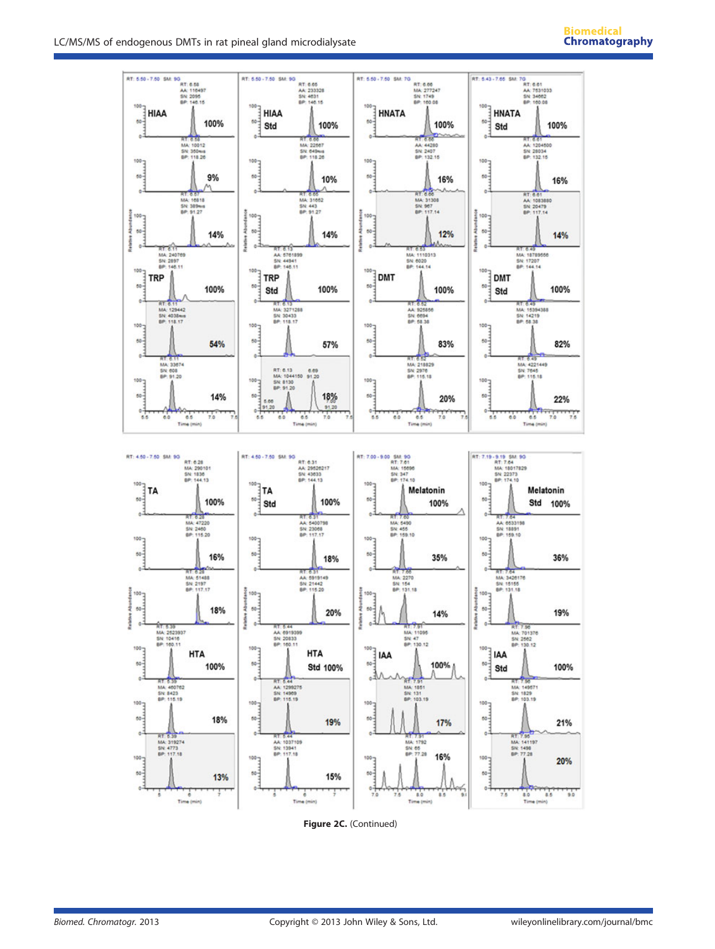

Figure 2C. (Continued)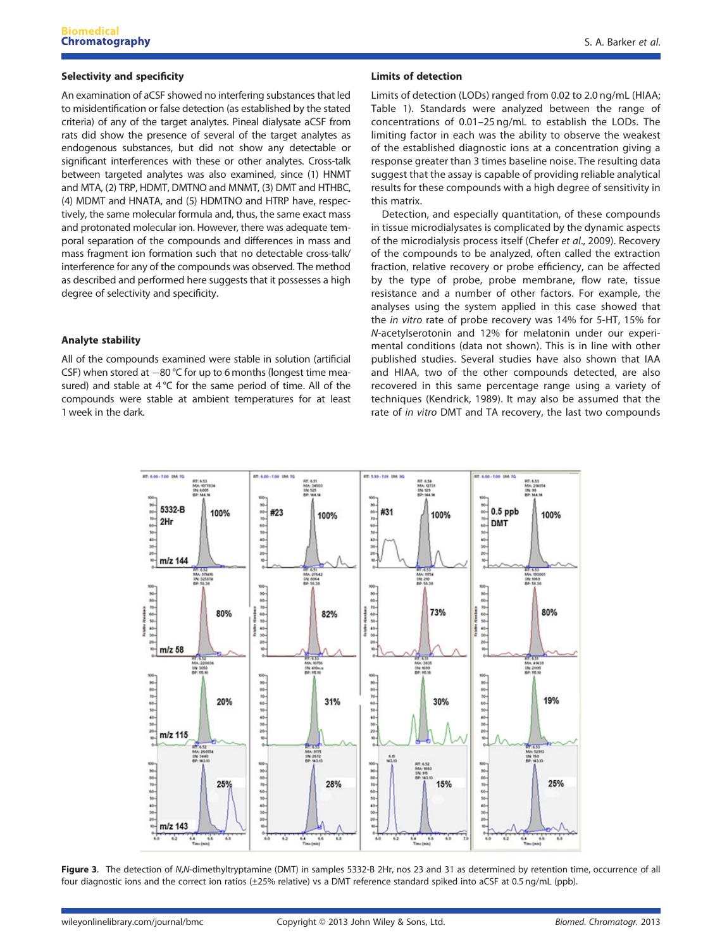#### Selectivity and specificity

An examination of aCSF showed no interfering substances that led to misidentification or false detection (as established by the stated criteria) of any of the target analytes. Pineal dialysate aCSF from rats did show the presence of several of the target analytes as endogenous substances, but did not show any detectable or significant interferences with these or other analytes. Cross-talk between targeted analytes was also examined, since (1) HNMT and MTA, (2) TRP, HDMT, DMTNO and MNMT, (3) DMT and HTHBC, (4) MDMT and HNATA, and (5) HDMTNO and HTRP have, respectively, the same molecular formula and, thus, the same exact mass and protonated molecular ion. However, there was adequate temporal separation of the compounds and differences in mass and mass fragment ion formation such that no detectable cross-talk/ interference for any of the compounds was observed. The method as described and performed here suggests that it possesses a high degree of selectivity and specificity.

#### Analyte stability

All of the compounds examined were stable in solution (artificial CSF) when stored at  $-80$  °C for up to 6 months (longest time measured) and stable at  $4^{\circ}$ C for the same period of time. All of the compounds were stable at ambient temperatures for at least 1 week in the dark.

#### Limits of detection

Limits of detection (LODs) ranged from 0.02 to 2.0 ng/mL (HIAA; Table 1). Standards were analyzed between the range of concentrations of 0.01–25 ng/mL to establish the LODs. The limiting factor in each was the ability to observe the weakest of the established diagnostic ions at a concentration giving a response greater than 3 times baseline noise. The resulting data suggest that the assay is capable of providing reliable analytical results for these compounds with a high degree of sensitivity in this matrix.

Detection, and especially quantitation, of these compounds in tissue microdialysates is complicated by the dynamic aspects of the microdialysis process itself (Chefer et al., 2009). Recovery of the compounds to be analyzed, often called the extraction fraction, relative recovery or probe efficiency, can be affected by the type of probe, probe membrane, flow rate, tissue resistance and a number of other factors. For example, the analyses using the system applied in this case showed that the in vitro rate of probe recovery was 14% for 5-HT, 15% for N-acetylserotonin and 12% for melatonin under our experimental conditions (data not shown). This is in line with other published studies. Several studies have also shown that IAA and HIAA, two of the other compounds detected, are also recovered in this same percentage range using a variety of techniques (Kendrick, 1989). It may also be assumed that the rate of in vitro DMT and TA recovery, the last two compounds



Figure 3. The detection of N,N-dimethyltryptamine (DMT) in samples 5332-B 2Hr, nos 23 and 31 as determined by retention time, occurrence of all four diagnostic ions and the correct ion ratios (±25% relative) vs a DMT reference standard spiked into aCSF at 0.5 ng/mL (ppb).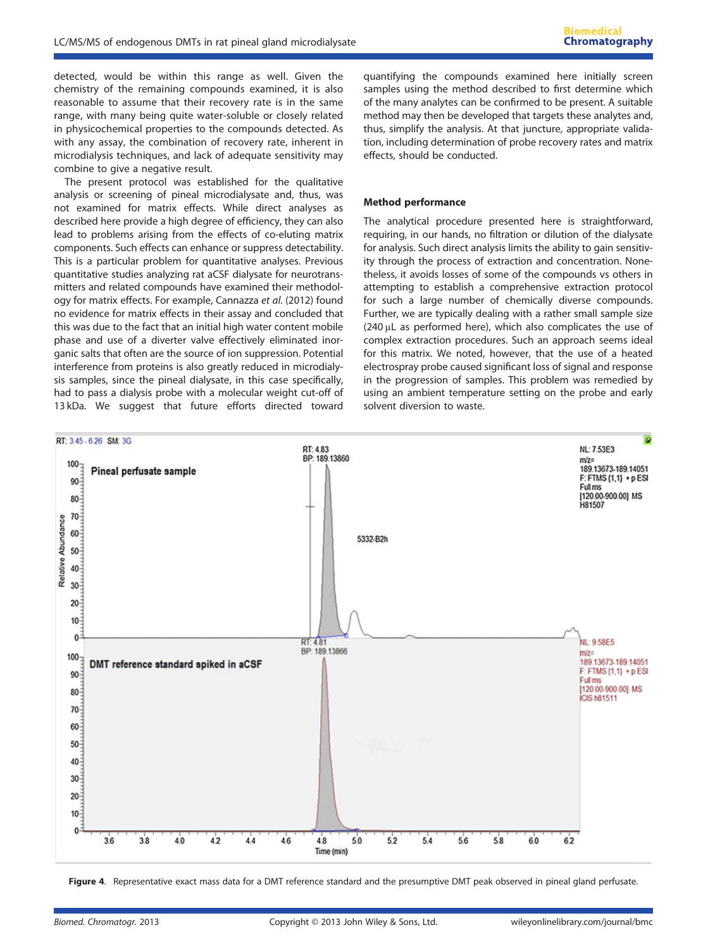detected, would be within this range as well. Given the chemistry of the remaining compounds examined, it is also reasonable to assume that their recovery rate is in the same range, with many being quite water-soluble or closely related in physicochemical properties to the compounds detected. As with any assay, the combination of recovery rate, inherent in microdialysis techniques, and lack of adequate sensitivity may combine to give a negative result.

The present protocol was established for the qualitative analysis or screening of pineal microdialysate and, thus, was not examined for matrix effects. While direct analyses as described here provide a high degree of efficiency, they can also lead to problems arising from the effects of co-eluting matrix components. Such effects can enhance or suppress detectability. This is a particular problem for quantitative analyses. Previous quantitative studies analyzing rat aCSF dialysate for neurotransmitters and related compounds have examined their methodology for matrix effects. For example, Cannazza et al. (2012) found no evidence for matrix effects in their assay and concluded that this was due to the fact that an initial high water content mobile phase and use of a diverter valve effectively eliminated inorganic salts that often are the source of ion suppression. Potential interference from proteins is also greatly reduced in microdialysis samples, since the pineal dialysate, in this case specifically, had to pass a dialysis probe with a molecular weight cut-off of 13 kDa. We suggest that future efforts directed toward

quantifying the compounds examined here initially screen samples using the method described to first determine which of the many analytes can be confirmed to be present. A suitable method may then be developed that targets these analytes and, thus, simplify the analysis. At that juncture, appropriate validation, including determination of probe recovery rates and matrix effects, should be conducted.

#### Method performance

The analytical procedure presented here is straightforward, requiring, in our hands, no filtration or dilution of the dialysate for analysis. Such direct analysis limits the ability to gain sensitivity through the process of extraction and concentration. Nonetheless, it avoids losses of some of the compounds vs others in attempting to establish a comprehensive extraction protocol for such a large number of chemically diverse compounds. Further, we are typically dealing with a rather small sample size (240 μL as performed here), which also complicates the use of complex extraction procedures. Such an approach seems ideal for this matrix. We noted, however, that the use of a heated electrospray probe caused significant loss of signal and response in the progression of samples. This problem was remedied by using an ambient temperature setting on the probe and early solvent diversion to waste.



Figure 4. Representative exact mass data for a DMT reference standard and the presumptive DMT peak observed in pineal gland perfusate.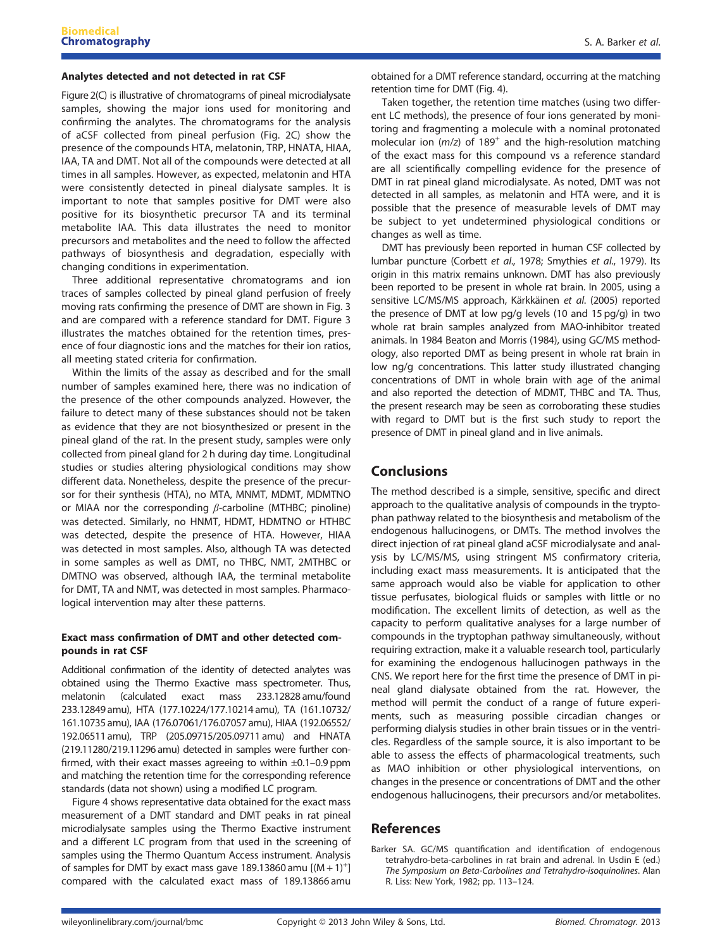#### Analytes detected and not detected in rat CSF

Figure 2(C) is illustrative of chromatograms of pineal microdialysate samples, showing the major ions used for monitoring and confirming the analytes. The chromatograms for the analysis of aCSF collected from pineal perfusion (Fig. 2C) show the presence of the compounds HTA, melatonin, TRP, HNATA, HIAA, IAA, TA and DMT. Not all of the compounds were detected at all times in all samples. However, as expected, melatonin and HTA were consistently detected in pineal dialysate samples. It is important to note that samples positive for DMT were also positive for its biosynthetic precursor TA and its terminal metabolite IAA. This data illustrates the need to monitor precursors and metabolites and the need to follow the affected pathways of biosynthesis and degradation, especially with changing conditions in experimentation.

Three additional representative chromatograms and ion traces of samples collected by pineal gland perfusion of freely moving rats confirming the presence of DMT are shown in Fig. 3 and are compared with a reference standard for DMT. Figure 3 illustrates the matches obtained for the retention times, presence of four diagnostic ions and the matches for their ion ratios, all meeting stated criteria for confirmation.

Within the limits of the assay as described and for the small number of samples examined here, there was no indication of the presence of the other compounds analyzed. However, the failure to detect many of these substances should not be taken as evidence that they are not biosynthesized or present in the pineal gland of the rat. In the present study, samples were only collected from pineal gland for 2 h during day time. Longitudinal studies or studies altering physiological conditions may show different data. Nonetheless, despite the presence of the precursor for their synthesis (HTA), no MTA, MNMT, MDMT, MDMTNO or MIAA nor the corresponding  $\beta$ -carboline (MTHBC; pinoline) was detected. Similarly, no HNMT, HDMT, HDMTNO or HTHBC was detected, despite the presence of HTA. However, HIAA was detected in most samples. Also, although TA was detected in some samples as well as DMT, no THBC, NMT, 2MTHBC or DMTNO was observed, although IAA, the terminal metabolite for DMT, TA and NMT, was detected in most samples. Pharmacological intervention may alter these patterns.

#### Exact mass confirmation of DMT and other detected compounds in rat CSF

Additional confirmation of the identity of detected analytes was obtained using the Thermo Exactive mass spectrometer. Thus, melatonin (calculated exact mass 233.12828 amu/found 233.12849 amu), HTA (177.10224/177.10214 amu), TA (161.10732/ 161.10735 amu), IAA (176.07061/176.07057 amu), HIAA (192.06552/ 192.06511 amu), TRP (205.09715/205.09711 amu) and HNATA (219.11280/219.11296 amu) detected in samples were further confirmed, with their exact masses agreeing to within  $\pm 0.1$ –0.9 ppm and matching the retention time for the corresponding reference standards (data not shown) using a modified LC program.

Figure 4 shows representative data obtained for the exact mass measurement of a DMT standard and DMT peaks in rat pineal microdialysate samples using the Thermo Exactive instrument and a different LC program from that used in the screening of samples using the Thermo Quantum Access instrument. Analysis of samples for DMT by exact mass gave 189.13860 amu  $[(M + 1)^+]$ compared with the calculated exact mass of 189.13866 amu

obtained for a DMT reference standard, occurring at the matching retention time for DMT (Fig. 4).

Taken together, the retention time matches (using two different LC methods), the presence of four ions generated by monitoring and fragmenting a molecule with a nominal protonated molecular ion  $(m/z)$  of 189<sup>+</sup> and the high-resolution matching of the exact mass for this compound vs a reference standard are all scientifically compelling evidence for the presence of DMT in rat pineal gland microdialysate. As noted, DMT was not detected in all samples, as melatonin and HTA were, and it is possible that the presence of measurable levels of DMT may be subject to yet undetermined physiological conditions or changes as well as time.

DMT has previously been reported in human CSF collected by lumbar puncture (Corbett et al., 1978; Smythies et al., 1979). Its origin in this matrix remains unknown. DMT has also previously been reported to be present in whole rat brain. In 2005, using a sensitive LC/MS/MS approach, Kärkkäinen et al. (2005) reported the presence of DMT at low pg/g levels (10 and 15 pg/g) in two whole rat brain samples analyzed from MAO-inhibitor treated animals. In 1984 Beaton and Morris (1984), using GC/MS methodology, also reported DMT as being present in whole rat brain in low ng/g concentrations. This latter study illustrated changing concentrations of DMT in whole brain with age of the animal and also reported the detection of MDMT, THBC and TA. Thus, the present research may be seen as corroborating these studies with regard to DMT but is the first such study to report the presence of DMT in pineal gland and in live animals.

# Conclusions

The method described is a simple, sensitive, specific and direct approach to the qualitative analysis of compounds in the tryptophan pathway related to the biosynthesis and metabolism of the endogenous hallucinogens, or DMTs. The method involves the direct injection of rat pineal gland aCSF microdialysate and analysis by LC/MS/MS, using stringent MS confirmatory criteria, including exact mass measurements. It is anticipated that the same approach would also be viable for application to other tissue perfusates, biological fluids or samples with little or no modification. The excellent limits of detection, as well as the capacity to perform qualitative analyses for a large number of compounds in the tryptophan pathway simultaneously, without requiring extraction, make it a valuable research tool, particularly for examining the endogenous hallucinogen pathways in the CNS. We report here for the first time the presence of DMT in pineal gland dialysate obtained from the rat. However, the method will permit the conduct of a range of future experiments, such as measuring possible circadian changes or performing dialysis studies in other brain tissues or in the ventricles. Regardless of the sample source, it is also important to be able to assess the effects of pharmacological treatments, such as MAO inhibition or other physiological interventions, on changes in the presence or concentrations of DMT and the other endogenous hallucinogens, their precursors and/or metabolites.

# References

Barker SA. GC/MS quantification and identification of endogenous tetrahydro-beta-carbolines in rat brain and adrenal. In Usdin E (ed.) The Symposium on Beta-Carbolines and Tetrahydro-isoquinolines. Alan R. Liss: New York, 1982; pp. 113–124.